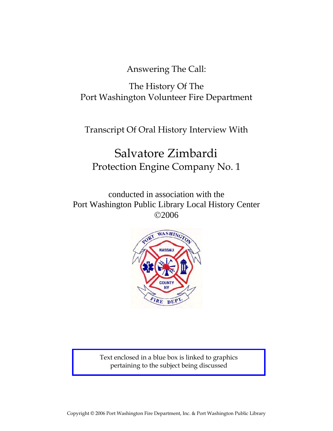Answering The Call:

The History Of The Port Washington Volunteer Fire Department

Transcript Of Oral History Interview With

# Salvatore Zimbardi Protection Engine Company No. 1

conducted in association with the Port Washington Public Library Local History Center ©2006



Text enclosed in a blue box is linked to graphics pertaining to the subject being discussed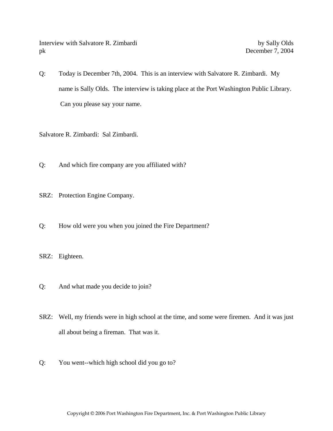Interview with Salvatore R. Zimbardi by Sally Olds pk December 7, 2004

Q: Today is December 7th, 2004. This is an interview with Salvatore R. Zimbardi. My name is Sally Olds. The interview is taking place at the Port Washington Public Library. Can you please say your name.

Salvatore R. Zimbardi: Sal Zimbardi.

- Q: And which fire company are you affiliated with?
- SRZ: Protection Engine Company.
- Q: How old were you when you joined the Fire Department?
- SRZ: Eighteen.
- Q: And what made you decide to join?
- SRZ: Well, my friends were in high school at the time, and some were firemen. And it was just all about being a fireman. That was it.
- Q: You went--which high school did you go to?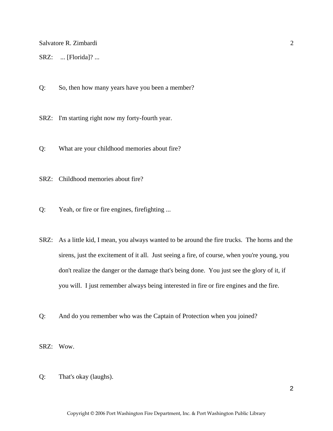SRZ: ... [Florida]? ...

Q: So, then how many years have you been a member?

SRZ: I'm starting right now my forty-fourth year.

Q: What are your childhood memories about fire?

SRZ: Childhood memories about fire?

Q: Yeah, or fire or fire engines, firefighting ...

SRZ: As a little kid, I mean, you always wanted to be around the fire trucks. The horns and the sirens, just the excitement of it all. Just seeing a fire, of course, when you're young, you don't realize the danger or the damage that's being done. You just see the glory of it, if you will. I just remember always being interested in fire or fire engines and the fire.

Q: And do you remember who was the Captain of Protection when you joined?

SRZ: Wow.

Q: That's okay (laughs).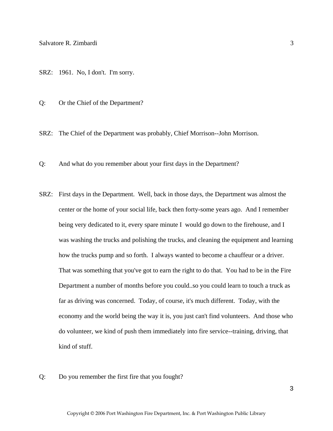SRZ: 1961. No, I don't. I'm sorry.

Q: Or the Chief of the Department?

SRZ: The Chief of the Department was probably, Chief Morrison--John Morrison.

Q: And what do you remember about your first days in the Department?

- SRZ: First days in the Department. Well, back in those days, the Department was almost the center or the home of your social life, back then forty-some years ago. And I remember being very dedicated to it, every spare minute I would go down to the firehouse, and I was washing the trucks and polishing the trucks, and cleaning the equipment and learning how the trucks pump and so forth. I always wanted to become a chauffeur or a driver. That was something that you've got to earn the right to do that. You had to be in the Fire Department a number of months before you could..so you could learn to touch a truck as far as driving was concerned. Today, of course, it's much different. Today, with the economy and the world being the way it is, you just can't find volunteers. And those who do volunteer, we kind of push them immediately into fire service--training, driving, that kind of stuff.
- Q: Do you remember the first fire that you fought?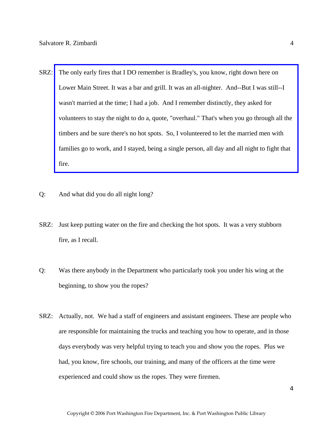- SRZ: The only early fires that I DO remember is Bradley's, you know, right down here on Lower Main Street. It was a bar and grill. It was an all-nighter. And--But I was still--I wasn't married at the time; I had a job. And I remember distinctly, they asked for [volunteers to stay the night to do a, quote, "overhaul." That's when you go through all the](http://www.pwfdhistory.com/trans/zimbardis_trans/peco_fires036.pdf)  timbers and be sure there's no hot spots. So, I volunteered to let the married men with families go to work, and I stayed, being a single person, all day and all night to fight that fire.
- Q: And what did you do all night long?
- SRZ: Just keep putting water on the fire and checking the hot spots. It was a very stubborn fire, as I recall.
- Q: Was there anybody in the Department who particularly took you under his wing at the beginning, to show you the ropes?
- SRZ: Actually, not. We had a staff of engineers and assistant engineers. These are people who are responsible for maintaining the trucks and teaching you how to operate, and in those days everybody was very helpful trying to teach you and show you the ropes. Plus we had, you know, fire schools, our training, and many of the officers at the time were experienced and could show us the ropes. They were firemen.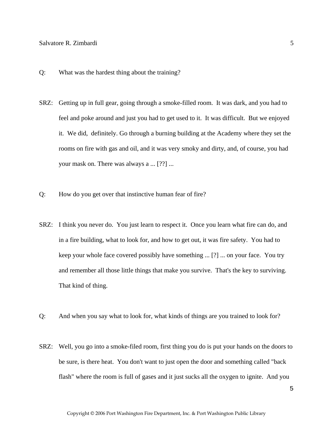- Q: What was the hardest thing about the training?
- SRZ: Getting up in full gear, going through a smoke-filled room. It was dark, and you had to feel and poke around and just you had to get used to it. It was difficult. But we enjoyed it. We did, definitely. Go through a burning building at the Academy where they set the rooms on fire with gas and oil, and it was very smoky and dirty, and, of course, you had your mask on. There was always a ... [??] ...
- Q: How do you get over that instinctive human fear of fire?
- SRZ: I think you never do. You just learn to respect it. Once you learn what fire can do, and in a fire building, what to look for, and how to get out, it was fire safety. You had to keep your whole face covered possibly have something ... [?] ... on your face. You try and remember all those little things that make you survive. That's the key to surviving. That kind of thing.
- Q: And when you say what to look for, what kinds of things are you trained to look for?
- SRZ: Well, you go into a smoke-filed room, first thing you do is put your hands on the doors to be sure, is there heat. You don't want to just open the door and something called "back flash" where the room is full of gases and it just sucks all the oxygen to ignite. And you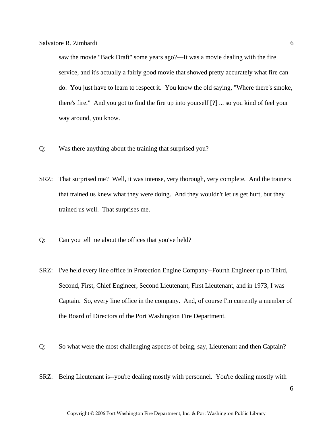saw the movie "Back Draft" some years ago?—It was a movie dealing with the fire service, and it's actually a fairly good movie that showed pretty accurately what fire can do. You just have to learn to respect it. You know the old saying, "Where there's smoke, there's fire." And you got to find the fire up into yourself [?] ... so you kind of feel your way around, you know.

- Q: Was there anything about the training that surprised you?
- SRZ: That surprised me? Well, it was intense, very thorough, very complete. And the trainers that trained us knew what they were doing. And they wouldn't let us get hurt, but they trained us well. That surprises me.
- Q: Can you tell me about the offices that you've held?
- SRZ: I've held every line office in Protection Engine Company--Fourth Engineer up to Third, Second, First, Chief Engineer, Second Lieutenant, First Lieutenant, and in 1973, I was Captain. So, every line office in the company. And, of course I'm currently a member of the Board of Directors of the Port Washington Fire Department.
- Q: So what were the most challenging aspects of being, say, Lieutenant and then Captain?
- SRZ: Being Lieutenant is--you're dealing mostly with personnel. You're dealing mostly with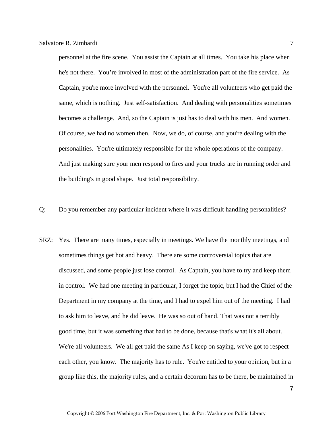personnel at the fire scene. You assist the Captain at all times. You take his place when he's not there. You're involved in most of the administration part of the fire service. As Captain, you're more involved with the personnel. You're all volunteers who get paid the same, which is nothing. Just self-satisfaction. And dealing with personalities sometimes becomes a challenge. And, so the Captain is just has to deal with his men. And women. Of course, we had no women then. Now, we do, of course, and you're dealing with the personalities. You're ultimately responsible for the whole operations of the company. And just making sure your men respond to fires and your trucks are in running order and the building's in good shape. Just total responsibility.

- Q: Do you remember any particular incident where it was difficult handling personalities?
- SRZ: Yes. There are many times, especially in meetings. We have the monthly meetings, and sometimes things get hot and heavy. There are some controversial topics that are discussed, and some people just lose control. As Captain, you have to try and keep them in control. We had one meeting in particular, I forget the topic, but I had the Chief of the Department in my company at the time, and I had to expel him out of the meeting. I had to ask him to leave, and he did leave. He was so out of hand. That was not a terribly good time, but it was something that had to be done, because that's what it's all about. We're all volunteers. We all get paid the same As I keep on saying, we've got to respect each other, you know. The majority has to rule. You're entitled to your opinion, but in a group like this, the majority rules, and a certain decorum has to be there, be maintained in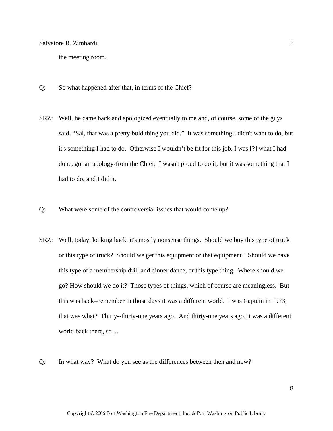the meeting room.

- Q: So what happened after that, in terms of the Chief?
- SRZ: Well, he came back and apologized eventually to me and, of course, some of the guys said, "Sal, that was a pretty bold thing you did." It was something I didn't want to do, but it's something I had to do. Otherwise I wouldn't be fit for this job. I was [?] what I had done, got an apology-from the Chief. I wasn't proud to do it; but it was something that I had to do, and I did it.
- Q: What were some of the controversial issues that would come up?
- SRZ: Well, today, looking back, it's mostly nonsense things. Should we buy this type of truck or this type of truck? Should we get this equipment or that equipment? Should we have this type of a membership drill and dinner dance, or this type thing. Where should we go? How should we do it? Those types of things, which of course are meaningless. But this was back--remember in those days it was a different world. I was Captain in 1973; that was what? Thirty--thirty-one years ago. And thirty-one years ago, it was a different world back there, so ...
- Q: In what way? What do you see as the differences between then and now?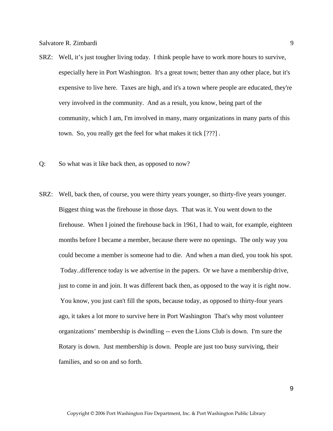- SRZ: Well, it's just tougher living today. I think people have to work more hours to survive, especially here in Port Washington. It's a great town; better than any other place, but it's expensive to live here. Taxes are high, and it's a town where people are educated, they're very involved in the community. And as a result, you know, being part of the community, which I am, I'm involved in many, many organizations in many parts of this town. So, you really get the feel for what makes it tick [???] .
- Q: So what was it like back then, as opposed to now?
- SRZ: Well, back then, of course, you were thirty years younger, so thirty-five years younger. Biggest thing was the firehouse in those days. That was it. You went down to the firehouse. When I joined the firehouse back in 1961, I had to wait, for example, eighteen months before I became a member, because there were no openings. The only way you could become a member is someone had to die. And when a man died, you took his spot. Today..difference today is we advertise in the papers. Or we have a membership drive, just to come in and join. It was different back then, as opposed to the way it is right now. You know, you just can't fill the spots, because today, as opposed to thirty-four years ago, it takes a lot more to survive here in Port Washington That's why most volunteer organizations' membership is dwindling -- even the Lions Club is down. I'm sure the Rotary is down. Just membership is down. People are just too busy surviving, their families, and so on and so forth.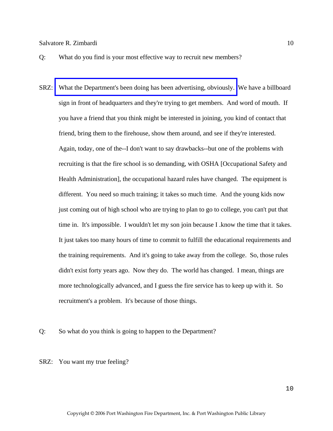Q: What do you find is your most effective way to recruit new members?

SRZ: [What the Department's been doing has been advertising, obviously.](http://www.pwfdhistory.com/trans/zimbardis_trans/pwfd_artifact003.pdf) We have a billboard sign in front of headquarters and they're trying to get members. And word of mouth. If you have a friend that you think might be interested in joining, you kind of contact that friend, bring them to the firehouse, show them around, and see if they're interested. Again, today, one of the--I don't want to say drawbacks--but one of the problems with recruiting is that the fire school is so demanding, with OSHA [Occupational Safety and Health Administration], the occupational hazard rules have changed. The equipment is different. You need so much training; it takes so much time. And the young kids now just coming out of high school who are trying to plan to go to college, you can't put that time in. It's impossible. I wouldn't let my son join because I .know the time that it takes. It just takes too many hours of time to commit to fulfill the educational requirements and the training requirements. And it's going to take away from the college. So, those rules didn't exist forty years ago. Now they do. The world has changed. I mean, things are more technologically advanced, and I guess the fire service has to keep up with it. So recruitment's a problem. It's because of those things.

Q: So what do you think is going to happen to the Department?

SRZ: You want my true feeling?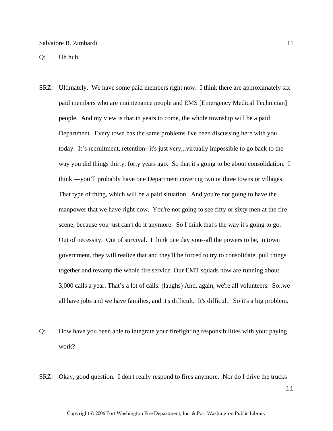Q: Uh huh.

- SRZ: Ultimately. We have some paid members right now. I think there are approximately six paid members who are maintenance people and EMS [Emergency Medical Technician] people. And my view is that in years to come, the whole township will be a paid Department. Every town has the same problems I've been discussing here with you today. It's recruitment, retention--it's just very,..virtually impossible to go back to the way you did things thirty, forty years ago. So that it's going to be about consolidation. I think —you'll probably have one Department covering two or three towns or villages. That type of thing, which will be a paid situation. And you're not going to have the manpower that we have right now. You're not going to see fifty or sixty men at the fire scene, because you just can't do it anymore. So I think that's the way it's going to go. Out of necessity. Out of survival. I think one day you--all the powers to be, in town government, they will realize that and they'll be forced to try to consolidate, pull things together and revamp the whole fire service. Our EMT squads now are running about 3,000 calls a year. That's a lot of calls. (laughs) And, again, we're all volunteers. So..we all have jobs and we have families, and it's difficult. It's difficult. So it's a big problem.
- Q: How have you been able to integrate your firefighting responsibilities with your paying work?
- SRZ: Okay, good question. I don't really respond to fires anymore. Nor do I drive the trucks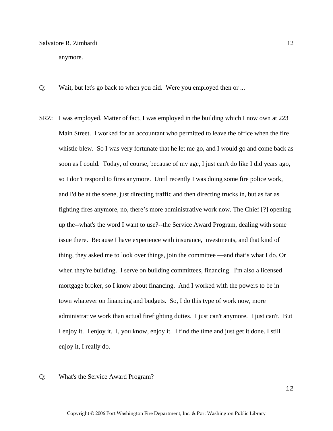anymore.

- Q: Wait, but let's go back to when you did. Were you employed then or ...
- SRZ: I was employed. Matter of fact, I was employed in the building which I now own at 223 Main Street. I worked for an accountant who permitted to leave the office when the fire whistle blew. So I was very fortunate that he let me go, and I would go and come back as soon as I could. Today, of course, because of my age, I just can't do like I did years ago, so I don't respond to fires anymore. Until recently I was doing some fire police work, and I'd be at the scene, just directing traffic and then directing trucks in, but as far as fighting fires anymore, no, there's more administrative work now. The Chief [?] opening up the--what's the word I want to use?--the Service Award Program, dealing with some issue there. Because I have experience with insurance, investments, and that kind of thing, they asked me to look over things, join the committee —and that's what I do. Or when they're building. I serve on building committees, financing. I'm also a licensed mortgage broker, so I know about financing. And I worked with the powers to be in town whatever on financing and budgets. So, I do this type of work now, more administrative work than actual firefighting duties. I just can't anymore. I just can't. But I enjoy it. I enjoy it. I, you know, enjoy it. I find the time and just get it done. I still enjoy it, I really do.
- Q: What's the Service Award Program?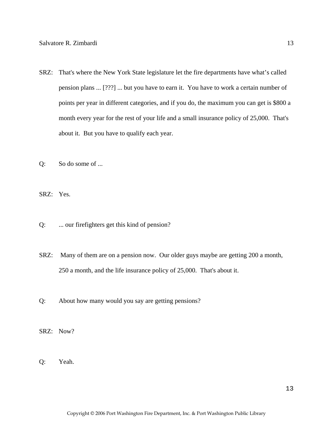- SRZ: That's where the New York State legislature let the fire departments have what's called pension plans ... [???] ... but you have to earn it. You have to work a certain number of points per year in different categories, and if you do, the maximum you can get is \$800 a month every year for the rest of your life and a small insurance policy of 25,000. That's about it. But you have to qualify each year.
- Q: So do some of ...

SRZ: Yes.

- Q: ... our firefighters get this kind of pension?
- SRZ: Many of them are on a pension now. Our older guys maybe are getting 200 a month, 250 a month, and the life insurance policy of 25,000. That's about it.
- Q: About how many would you say are getting pensions?
- SRZ: Now?
- Q: Yeah.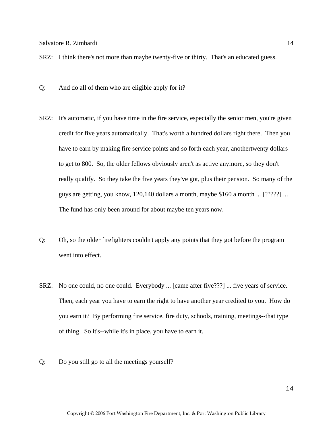SRZ: I think there's not more than maybe twenty-five or thirty. That's an educated guess.

- Q: And do all of them who are eligible apply for it?
- SRZ: It's automatic, if you have time in the fire service, especially the senior men, you're given credit for five years automatically. That's worth a hundred dollars right there. Then you have to earn by making fire service points and so forth each year, anothertwenty dollars to get to 800. So, the older fellows obviously aren't as active anymore, so they don't really qualify. So they take the five years they've got, plus their pension. So many of the guys are getting, you know, 120,140 dollars a month, maybe \$160 a month ... [?????] ... The fund has only been around for about maybe ten years now.
- Q: Oh, so the older firefighters couldn't apply any points that they got before the program went into effect.
- SRZ: No one could, no one could. Everybody ... [came after five???] ... five years of service. Then, each year you have to earn the right to have another year credited to you. How do you earn it? By performing fire service, fire duty, schools, training, meetings--that type of thing. So it's--while it's in place, you have to earn it.
- Q: Do you still go to all the meetings yourself?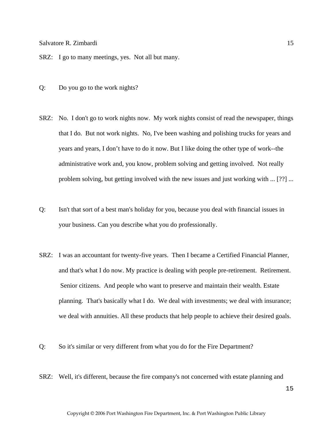SRZ: I go to many meetings, yes. Not all but many.

- Q: Do you go to the work nights?
- SRZ: No. I don't go to work nights now. My work nights consist of read the newspaper, things that I do. But not work nights. No, I've been washing and polishing trucks for years and years and years, I don't have to do it now. But I like doing the other type of work--the administrative work and, you know, problem solving and getting involved. Not really problem solving, but getting involved with the new issues and just working with ... [??] ...
- Q: Isn't that sort of a best man's holiday for you, because you deal with financial issues in your business. Can you describe what you do professionally.
- SRZ: I was an accountant for twenty-five years. Then I became a Certified Financial Planner, and that's what I do now. My practice is dealing with people pre-retirement. Retirement. Senior citizens. And people who want to preserve and maintain their wealth. Estate planning. That's basically what I do. We deal with investments; we deal with insurance; we deal with annuities. All these products that help people to achieve their desired goals.
- Q: So it's similar or very different from what you do for the Fire Department?
- SRZ: Well, it's different, because the fire company's not concerned with estate planning and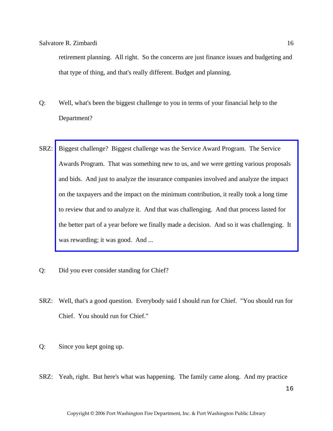retirement planning. All right. So the concerns are just finance issues and budgeting and that type of thing, and that's really different. Budget and planning.

- Q: Well, what's been the biggest challenge to you in terms of your financial help to the Department?
- SRZ: Biggest challenge? Biggest challenge was the Service Award Program. The Service Awards Program. That was something new to us, and we were getting various proposals and bids. And just to analyze the insurance companies involved and analyze the impact on the taxpayers and the impact on the minimum contribution, it really took a long time to review that and to analyze it. And that was challenging. And that process lasted for [the better part of a year before we finally made a decision. And so it was challenging. It](http://www.pwfdhistory.com/trans/zimbardis_trans/losap.pdf)  was rewarding; it was good. And ...
- Q: Did you ever consider standing for Chief?
- SRZ: Well, that's a good question. Everybody said I should run for Chief. "You should run for Chief. You should run for Chief."
- Q: Since you kept going up.
- SRZ: Yeah, right. But here's what was happening. The family came along. And my practice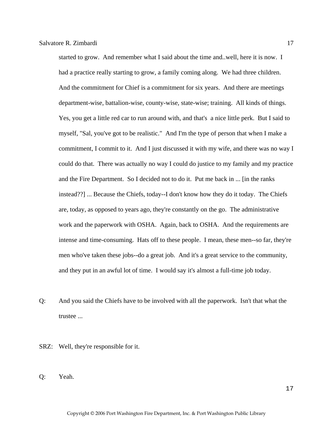started to grow. And remember what I said about the time and..well, here it is now. I had a practice really starting to grow, a family coming along. We had three children. And the commitment for Chief is a commitment for six years. And there are meetings department-wise, battalion-wise, county-wise, state-wise; training. All kinds of things. Yes, you get a little red car to run around with, and that's a nice little perk. But I said to myself, "Sal, you've got to be realistic." And I'm the type of person that when I make a commitment, I commit to it. And I just discussed it with my wife, and there was no way I could do that. There was actually no way I could do justice to my family and my practice and the Fire Department. So I decided not to do it. Put me back in ... [in the ranks instead??] ... Because the Chiefs, today--I don't know how they do it today. The Chiefs are, today, as opposed to years ago, they're constantly on the go. The administrative work and the paperwork with OSHA. Again, back to OSHA. And the requirements are intense and time-consuming. Hats off to these people. I mean, these men--so far, they're men who've taken these jobs--do a great job. And it's a great service to the community, and they put in an awful lot of time. I would say it's almost a full-time job today.

- Q: And you said the Chiefs have to be involved with all the paperwork. Isn't that what the trustee ...
- SRZ: Well, they're responsible for it.
- Q: Yeah.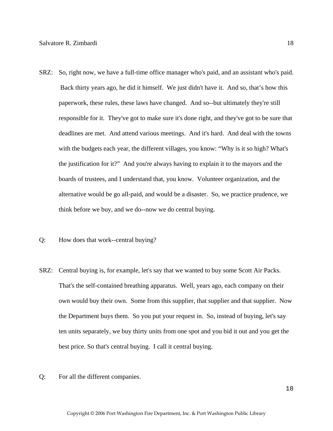- SRZ: So, right now, we have a full-time office manager who's paid, and an assistant who's paid. Back thirty years ago, he did it himself. We just didn't have it. And so, that's how this paperwork, these rules, these laws have changed. And so--but ultimately they're still responsible for it. They've got to make sure it's done right, and they've got to be sure that deadlines are met. And attend various meetings. And it's hard. And deal with the towns with the budgets each year, the different villages, you know: "Why is it so high? What's the justification for it?" And you're always having to explain it to the mayors and the boards of trustees, and I understand that, you know. Volunteer organization, and the alternative would be go all-paid, and would be a disaster. So, we practice prudence, we think before we buy, and we do--now we do central buying.
- Q: How does that work--central buying?
- SRZ: Central buying is, for example, let's say that we wanted to buy some Scott Air Packs. That's the self-contained breathing apparatus. Well, years ago, each company on their own would buy their own. Some from this supplier, that supplier and that supplier. Now the Department buys them. So you put your request in. So, instead of buying, let's say ten units separately, we buy thirty units from one spot and you bid it out and you get the best price. So that's central buying. I call it central buying.
- Q: For all the different companies.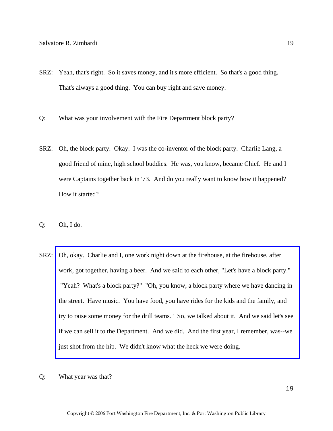- SRZ: Yeah, that's right. So it saves money, and it's more efficient. So that's a good thing. That's always a good thing. You can buy right and save money.
- Q: What was your involvement with the Fire Department block party?
- SRZ: Oh, the block party. Okay. I was the co-inventor of the block party. Charlie Lang, a good friend of mine, high school buddies. He was, you know, became Chief. He and I were Captains together back in '73. And do you really want to know how it happened? How it started?
- Q: Oh, I do.
- SRZ: Oh, okay. Charlie and I, one work night down at the firehouse, at the firehouse, after work, got together, having a beer. And we said to each other, "Let's have a block party." "Yeah? What's a block party?" "Oh, you know, a block party where we have dancing in the street. Have music. You have food, you have rides for the kids and the family, and [try to raise some money for the drill teams." So, we talked about it. And we said let's see](http://www.pwfdhistory.com/trans/zimbardis_trans/news_cocks279b.pdf)  if we can sell it to the Department. And we did. And the first year, I remember, was--we just shot from the hip. We didn't know what the heck we were doing.
- Q: What year was that?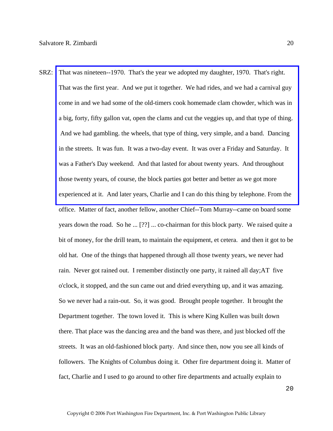SRZ: That was nineteen--1970. That's the year we adopted my daughter, 1970. That's right. That was the first year. And we put it together. We had rides, and we had a carnival guy come in and we had some of the old-timers cook homemade clam chowder, which was in [a big, forty, fifty gallon vat, open the clams and cut the veggies up, and that type of thing.](http://www.pwfdhistory.com/trans/zimbardis_trans/news_cocks260b.pdf)  And we had gambling. the wheels, that type of thing, very simple, and a band. Dancing in the streets. It was fun. It was a two-day event. It was over a Friday and Saturday. It was a Father's Day weekend. And that lasted for about twenty years. And throughout those twenty years, of course, the block parties got better and better as we got more experienced at it. And later years, Charlie and I can do this thing by telephone. From the office. Matter of fact, another fellow, another Chief--Tom Murray--came on board some years down the road. So he ... [??] ... co-chairman for this block party. We raised quite a bit of money, for the drill team, to maintain the equipment, et cetera. and then it got to be old hat. One of the things that happened through all those twenty years, we never had rain. Never got rained out. I remember distinctly one party, it rained all day;AT five o'clock, it stopped, and the sun came out and dried everything up, and it was amazing. So we never had a rain-out. So, it was good. Brought people together. It brought the Department together. The town loved it. This is where King Kullen was built down there. That place was the dancing area and the band was there, and just blocked off the streets. It was an old-fashioned block party. And since then, now you see all kinds of followers. The Knights of Columbus doing it. Other fire department doing it. Matter of fact, Charlie and I used to go around to other fire departments and actually explain to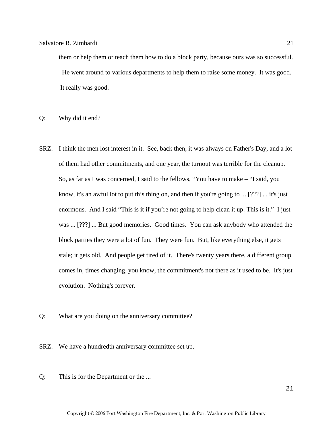them or help them or teach them how to do a block party, because ours was so successful. He went around to various departments to help them to raise some money. It was good. It really was good.

Q: Why did it end?

- SRZ: I think the men lost interest in it. See, back then, it was always on Father's Day, and a lot of them had other commitments, and one year, the turnout was terrible for the cleanup. So, as far as I was concerned, I said to the fellows, "You have to make – "I said, you know, it's an awful lot to put this thing on, and then if you're going to ... [???] ... it's just enormous. And I said "This is it if you're not going to help clean it up. This is it." I just was ... [???] ... But good memories. Good times. You can ask anybody who attended the block parties they were a lot of fun. They were fun. But, like everything else, it gets stale; it gets old. And people get tired of it. There's twenty years there, a different group comes in, times changing, you know, the commitment's not there as it used to be. It's just evolution. Nothing's forever.
- Q: What are you doing on the anniversary committee?
- SRZ: We have a hundredth anniversary committee set up.
- Q: This is for the Department or the ...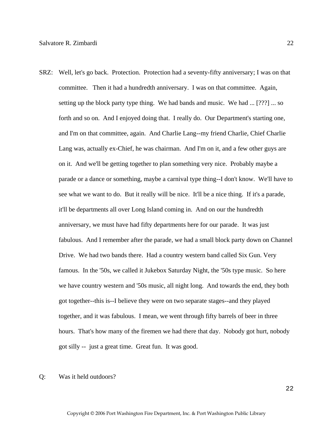- SRZ: Well, let's go back. Protection. Protection had a seventy-fifty anniversary; I was on that committee. Then it had a hundredth anniversary. I was on that committee. Again, setting up the block party type thing. We had bands and music. We had ... [???] ... so forth and so on. And I enjoyed doing that. I really do. Our Department's starting one, and I'm on that committee, again. And Charlie Lang--my friend Charlie, Chief Charlie Lang was, actually ex-Chief, he was chairman. And I'm on it, and a few other guys are on it. And we'll be getting together to plan something very nice. Probably maybe a parade or a dance or something, maybe a carnival type thing--I don't know. We'll have to see what we want to do. But it really will be nice. It'll be a nice thing. If it's a parade, it'll be departments all over Long Island coming in. And on our the hundredth anniversary, we must have had fifty departments here for our parade. It was just fabulous. And I remember after the parade, we had a small block party down on Channel Drive. We had two bands there. Had a country western band called Six Gun. Very famous. In the '50s, we called it Jukebox Saturday Night, the '50s type music. So here we have country western and '50s music, all night long. And towards the end, they both got together--this is--I believe they were on two separate stages--and they played together, and it was fabulous. I mean, we went through fifty barrels of beer in three hours. That's how many of the firemen we had there that day. Nobody got hurt, nobody got silly -- just a great time. Great fun. It was good.
- Q: Was it held outdoors?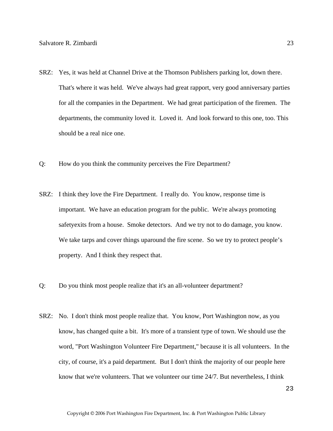- SRZ: Yes, it was held at Channel Drive at the Thomson Publishers parking lot, down there. That's where it was held. We've always had great rapport, very good anniversary parties for all the companies in the Department. We had great participation of the firemen. The departments, the community loved it. Loved it. And look forward to this one, too. This should be a real nice one.
- Q: How do you think the community perceives the Fire Department?
- SRZ: I think they love the Fire Department. I really do. You know, response time is important. We have an education program for the public. We're always promoting safetyexits from a house. Smoke detectors. And we try not to do damage, you know. We take tarps and cover things uparound the fire scene. So we try to protect people's property. And I think they respect that.
- Q: Do you think most people realize that it's an all-volunteer department?
- SRZ: No. I don't think most people realize that. You know, Port Washington now, as you know, has changed quite a bit. It's more of a transient type of town. We should use the word, "Port Washington Volunteer Fire Department," because it is all volunteers. In the city, of course, it's a paid department. But I don't think the majority of our people here know that we're volunteers. That we volunteer our time 24/7. But nevertheless, I think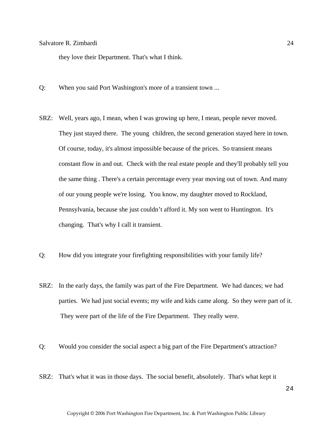they love their Department. That's what I think.

- Q: When you said Port Washington's more of a transient town ...
- SRZ: Well, years ago, I mean, when I was growing up here, I mean, people never moved. They just stayed there. The young children, the second generation stayed here in town. Of course, today, it's almost impossible because of the prices. So transient means constant flow in and out. Check with the real estate people and they'll probably tell you the same thing . There's a certain percentage every year moving out of town. And many of our young people we're losing. You know, my daughter moved to Rockland, Pennsylvania, because she just couldn't afford it. My son went to Huntington. It's changing. That's why I call it transient.
- Q: How did you integrate your firefighting responsibilities with your family life?
- SRZ: In the early days, the family was part of the Fire Department. We had dances; we had parties. We had just social events; my wife and kids came along. So they were part of it. They were part of the life of the Fire Department. They really were.
- Q: Would you consider the social aspect a big part of the Fire Department's attraction?
- SRZ: That's what it was in those days. The social benefit, absolutely. That's what kept it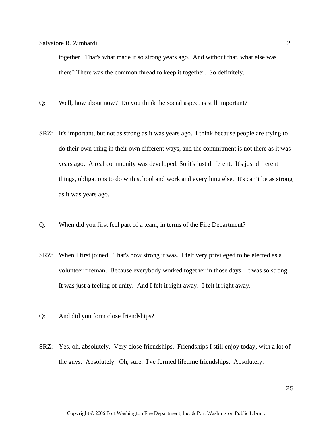together. That's what made it so strong years ago. And without that, what else was there? There was the common thread to keep it together. So definitely.

- Q: Well, how about now? Do you think the social aspect is still important?
- SRZ: It's important, but not as strong as it was years ago. I think because people are trying to do their own thing in their own different ways, and the commitment is not there as it was years ago. A real community was developed. So it's just different. It's just different things, obligations to do with school and work and everything else. It's can't be as strong as it was years ago.
- Q: When did you first feel part of a team, in terms of the Fire Department?
- SRZ: When I first joined. That's how strong it was. I felt very privileged to be elected as a volunteer fireman. Because everybody worked together in those days. It was so strong. It was just a feeling of unity. And I felt it right away. I felt it right away.
- Q: And did you form close friendships?
- SRZ: Yes, oh, absolutely. Very close friendships. Friendships I still enjoy today, with a lot of the guys. Absolutely. Oh, sure. I've formed lifetime friendships. Absolutely.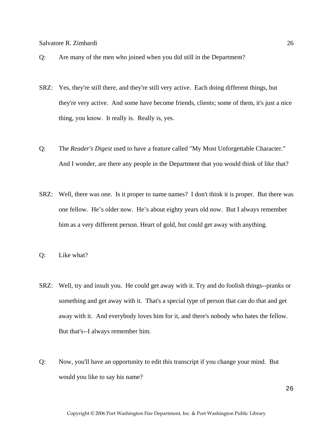- Q: Are many of the men who joined when you did still in the Department?
- SRZ: Yes, they're still there, and they're still very active. Each doing different things, but they're very active. And some have become friends, clients; some of them, it's just a nice thing, you know. It really is. Really is, yes.
- Q: The *Reader's Digest* used to have a feature called "My Most Unforgettable Character." And I wonder, are there any people in the Department that you would think of like that?
- SRZ: Well, there was one. Is it proper to name names? I don't think it is proper. But there was one fellow. He's older now. He's about eighty years old now. But I always remember him as a very different person. Heart of gold, but could get away with anything.
- Q: Like what?
- SRZ: Well, try and insult you. He could get away with it. Try and do foolish things--pranks or something and get away with it. That's a special type of person that can do that and get away with it. And everybody loves him for it, and there's nobody who hates the fellow. But that's--I always remember him.
- Q: Now, you'll have an opportunity to edit this transcript if you change your mind. But would you like to say his name?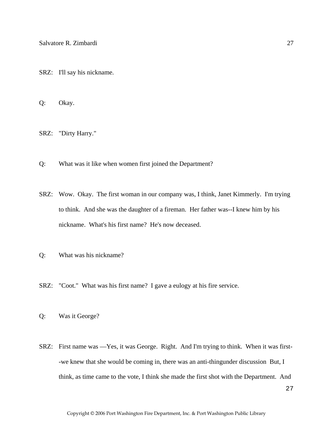SRZ: I'll say his nickname.

Q: Okay.

SRZ: "Dirty Harry."

- Q: What was it like when women first joined the Department?
- SRZ: Wow. Okay. The first woman in our company was, I think, Janet Kimmerly. I'm trying to think. And she was the daughter of a fireman. Her father was--I knew him by his nickname. What's his first name? He's now deceased.
- Q: What was his nickname?
- SRZ: "Coot." What was his first name? I gave a eulogy at his fire service.
- Q: Was it George?
- SRZ: First name was —Yes, it was George. Right. And I'm trying to think. When it was first- -we knew that she would be coming in, there was an anti-thingunder discussion But, I think, as time came to the vote, I think she made the first shot with the Department. And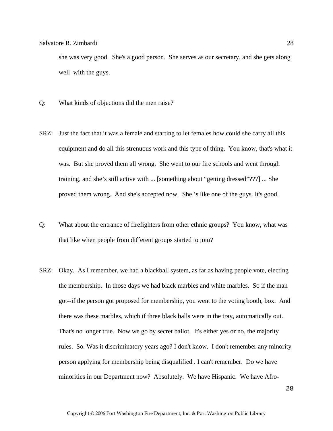she was very good. She's a good person. She serves as our secretary, and she gets along well with the guys.

- Q: What kinds of objections did the men raise?
- SRZ: Just the fact that it was a female and starting to let females how could she carry all this equipment and do all this strenuous work and this type of thing. You know, that's what it was. But she proved them all wrong. She went to our fire schools and went through training, and she's still active with ... [something about "getting dressed"???] ... She proved them wrong. And she's accepted now. She 's like one of the guys. It's good.
- Q: What about the entrance of firefighters from other ethnic groups? You know, what was that like when people from different groups started to join?
- SRZ: Okay. As I remember, we had a blackball system, as far as having people vote, electing the membership. In those days we had black marbles and white marbles. So if the man got--if the person got proposed for membership, you went to the voting booth, box. And there was these marbles, which if three black balls were in the tray, automatically out. That's no longer true. Now we go by secret ballot. It's either yes or no, the majority rules. So. Was it discriminatory years ago? I don't know. I don't remember any minority person applying for membership being disqualified . I can't remember. Do we have minorities in our Department now? Absolutely. We have Hispanic. We have Afro-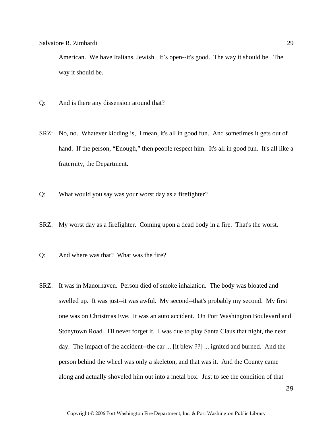American. We have Italians, Jewish. It's open--it's good. The way it should be. The way it should be.

- Q: And is there any dissension around that?
- SRZ: No, no. Whatever kidding is, I mean, it's all in good fun. And sometimes it gets out of hand. If the person, "Enough," then people respect him. It's all in good fun. It's all like a fraternity, the Department.
- Q: What would you say was your worst day as a firefighter?
- SRZ: My worst day as a firefighter. Coming upon a dead body in a fire. That's the worst.
- Q: And where was that? What was the fire?
- SRZ: It was in Manorhaven. Person died of smoke inhalation. The body was bloated and swelled up. It was just--it was awful. My second--that's probably my second. My first one was on Christmas Eve. It was an auto accident. On Port Washington Boulevard and Stonytown Road. I'll never forget it. I was due to play Santa Claus that night, the next day. The impact of the accident--the car ... [it blew ??] ... ignited and burned. And the person behind the wheel was only a skeleton, and that was it. And the County came along and actually shoveled him out into a metal box. Just to see the condition of that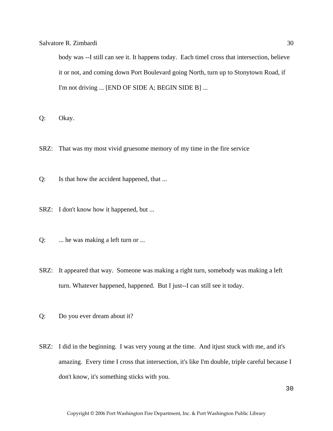body was --I still can see it. It happens today. Each timeI cross that intersection, believe it or not, and coming down Port Boulevard going North, turn up to Stonytown Road, if I'm not driving ... [END OF SIDE A; BEGIN SIDE B] ...

Q: Okay.

- SRZ: That was my most vivid gruesome memory of my time in the fire service
- Q: Is that how the accident happened, that ...
- SRZ: I don't know how it happened, but ...
- Q: ... he was making a left turn or ...
- SRZ: It appeared that way. Someone was making a right turn, somebody was making a left turn. Whatever happened, happened. But I just--I can still see it today.
- Q: Do you ever dream about it?
- SRZ: I did in the beginning. I was very young at the time. And itjust stuck with me, and it's amazing. Every time I cross that intersection, it's like I'm double, triple careful because I don't know, it's something sticks with you.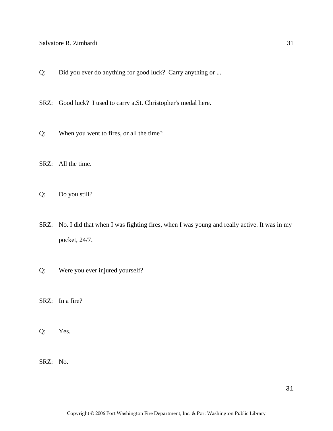- Q: Did you ever do anything for good luck? Carry anything or ...
- SRZ: Good luck? I used to carry a.St. Christopher's medal here.
- Q: When you went to fires, or all the time?
- SRZ: All the time.
- Q: Do you still?
- SRZ: No. I did that when I was fighting fires, when I was young and really active. It was in my pocket, 24/7.
- Q: Were you ever injured yourself?
- SRZ: In a fire?
- Q: Yes.
- SRZ: No.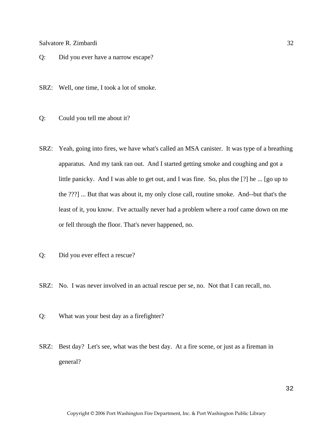- Q: Did you ever have a narrow escape?
- SRZ: Well, one time, I took a lot of smoke.
- Q: Could you tell me about it?
- SRZ: Yeah, going into fires, we have what's called an MSA canister. It was type of a breathing apparatus. And my tank ran out. And I started getting smoke and coughing and got a little panicky. And I was able to get out, and I was fine. So, plus the [?] he ... [go up to the ???] ... But that was about it, my only close call, routine smoke. And--but that's the least of it, you know. I've actually never had a problem where a roof came down on me or fell through the floor. That's never happened, no.
- Q: Did you ever effect a rescue?
- SRZ: No. I was never involved in an actual rescue per se, no. Not that I can recall, no.
- Q: What was your best day as a firefighter?
- SRZ: Best day? Let's see, what was the best day. At a fire scene, or just as a fireman in general?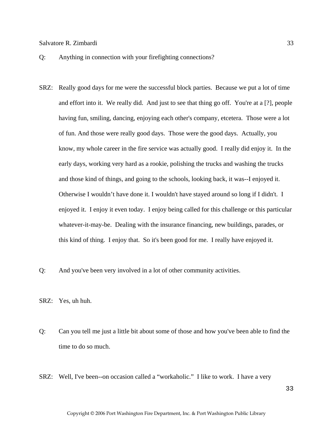- Q: Anything in connection with your firefighting connections?
- SRZ: Really good days for me were the successful block parties. Because we put a lot of time and effort into it. We really did. And just to see that thing go off. You're at a [?], people having fun, smiling, dancing, enjoying each other's company, etcetera. Those were a lot of fun. And those were really good days. Those were the good days. Actually, you know, my whole career in the fire service was actually good. I really did enjoy it. In the early days, working very hard as a rookie, polishing the trucks and washing the trucks and those kind of things, and going to the schools, looking back, it was--I enjoyed it. Otherwise I wouldn't have done it. I wouldn't have stayed around so long if I didn't. I enjoyed it. I enjoy it even today. I enjoy being called for this challenge or this particular whatever-it-may-be. Dealing with the insurance financing, new buildings, parades, or this kind of thing. I enjoy that. So it's been good for me. I really have enjoyed it.
- Q: And you've been very involved in a lot of other community activities.

SRZ: Yes, uh huh.

- Q: Can you tell me just a little bit about some of those and how you've been able to find the time to do so much.
- SRZ: Well, I've been--on occasion called a "workaholic." I like to work. I have a very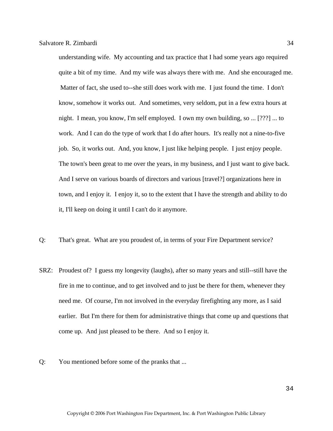understanding wife. My accounting and tax practice that I had some years ago required quite a bit of my time. And my wife was always there with me. And she encouraged me. Matter of fact, she used to--she still does work with me. I just found the time. I don't know, somehow it works out. And sometimes, very seldom, put in a few extra hours at night. I mean, you know, I'm self employed. I own my own building, so ... [???] ... to work. And I can do the type of work that I do after hours. It's really not a nine-to-five job. So, it works out. And, you know, I just like helping people. I just enjoy people. The town's been great to me over the years, in my business, and I just want to give back. And I serve on various boards of directors and various [travel?] organizations here in town, and I enjoy it. I enjoy it, so to the extent that I have the strength and ability to do it, I'll keep on doing it until I can't do it anymore.

- Q: That's great. What are you proudest of, in terms of your Fire Department service?
- SRZ: Proudest of? I guess my longevity (laughs), after so many years and still--still have the fire in me to continue, and to get involved and to just be there for them, whenever they need me. Of course, I'm not involved in the everyday firefighting any more, as I said earlier. But I'm there for them for administrative things that come up and questions that come up. And just pleased to be there. And so I enjoy it.
- Q: You mentioned before some of the pranks that ...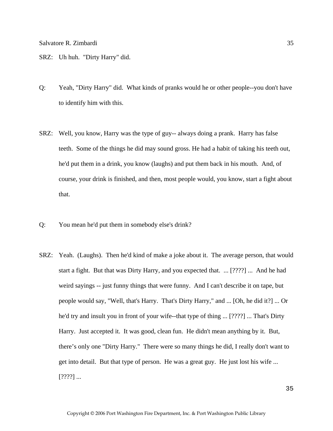SRZ: Uh huh. "Dirty Harry" did.

- Q: Yeah, "Dirty Harry" did. What kinds of pranks would he or other people--you don't have to identify him with this.
- SRZ: Well, you know, Harry was the type of guy-- always doing a prank. Harry has false teeth. Some of the things he did may sound gross. He had a habit of taking his teeth out, he'd put them in a drink, you know (laughs) and put them back in his mouth. And, of course, your drink is finished, and then, most people would, you know, start a fight about that.
- Q: You mean he'd put them in somebody else's drink?
- SRZ: Yeah. (Laughs). Then he'd kind of make a joke about it. The average person, that would start a fight. But that was Dirty Harry, and you expected that. ... [????] ... And he had weird sayings -- just funny things that were funny. And I can't describe it on tape, but people would say, "Well, that's Harry. That's Dirty Harry," and ... [Oh, he did it?] ... Or he'd try and insult you in front of your wife--that type of thing ... [????] ... That's Dirty Harry. Just accepted it. It was good, clean fun. He didn't mean anything by it. But, there's only one "Dirty Harry." There were so many things he did, I really don't want to get into detail. But that type of person. He was a great guy. He just lost his wife ...  $[????]$  ...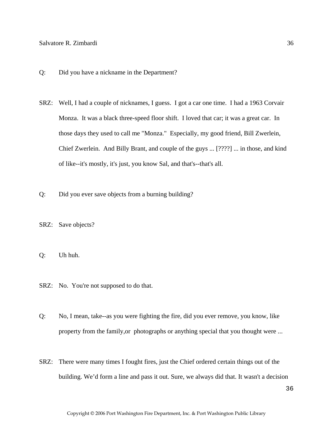- Q: Did you have a nickname in the Department?
- SRZ: Well, I had a couple of nicknames, I guess. I got a car one time. I had a 1963 Corvair Monza. It was a black three-speed floor shift. I loved that car; it was a great car. In those days they used to call me "Monza." Especially, my good friend, Bill Zwerlein, Chief Zwerlein. And Billy Brant, and couple of the guys ... [????] ... in those, and kind of like--it's mostly, it's just, you know Sal, and that's--that's all.
- Q: Did you ever save objects from a burning building?
- SRZ: Save objects?
- Q: Uh huh.
- SRZ: No. You're not supposed to do that.
- Q: No, I mean, take--as you were fighting the fire, did you ever remove, you know, like property from the family,or photographs or anything special that you thought were ...
- SRZ: There were many times I fought fires, just the Chief ordered certain things out of the building. We'd form a line and pass it out. Sure, we always did that. It wasn't a decision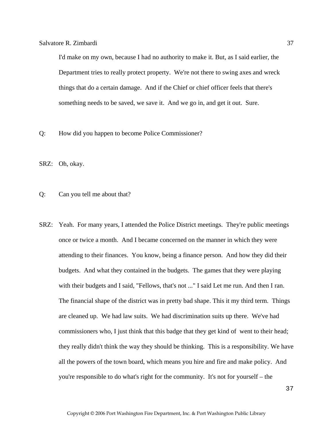I'd make on my own, because I had no authority to make it. But, as I said earlier, the Department tries to really protect property. We're not there to swing axes and wreck things that do a certain damage. And if the Chief or chief officer feels that there's something needs to be saved, we save it. And we go in, and get it out. Sure.

- Q: How did you happen to become Police Commissioner?
- SRZ: Oh, okay.

Q: Can you tell me about that?

SRZ: Yeah. For many years, I attended the Police District meetings. They're public meetings once or twice a month. And I became concerned on the manner in which they were attending to their finances. You know, being a finance person. And how they did their budgets. And what they contained in the budgets. The games that they were playing with their budgets and I said, "Fellows, that's not ..." I said Let me run. And then I ran. The financial shape of the district was in pretty bad shape. This it my third term. Things are cleaned up. We had law suits. We had discrimination suits up there. We've had commissioners who, I just think that this badge that they get kind of went to their head; they really didn't think the way they should be thinking. This is a responsibility. We have all the powers of the town board, which means you hire and fire and make policy. And you're responsible to do what's right for the community. It's not for yourself – the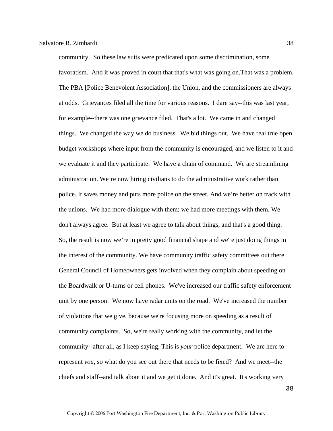community. So these law suits were predicated upon some discrimination, some favoratism. And it was proved in court that that's what was going on.That was a problem. The PBA [Police Benevolent Association], the Union, and the commissioners are always at odds. Grievances filed all the time for various reasons. I dare say--this was last year, for example--there was one grievance filed. That's a lot. We came in and changed things. We changed the way we do business. We bid things out. We have real true open budget workshops where input from the community is encouraged, and we listen to it and we evaluate it and they participate. We have a chain of command. We are streamlining administration. We're now hiring civilians to do the administrative work rather than police. It saves money and puts more police on the street. And we're better on track with the unions. We had more dialogue with them; we had more meetings with them. We don't always agree. But at least we agree to talk about things, and that's a good thing. So, the result is now we're in pretty good financial shape and we're just doing things in the interest of the community. We have community traffic safety committees out there. General Council of Homeowners gets involved when they complain about speeding on the Boardwalk or U-turns or cell phones. We've increased our traffic safety enforcement unit by one person. We now have radar units on the road. We've increased the number of violations that we give, because we're focusing more on speeding as a result of community complaints. So, we're really working with the community, and let the community--after all, as I keep saying, This is *your* police department. We are here to represent *you*, so what do you see out there that needs to be fixed? And we meet--the chiefs and staff--and talk about it and we get it done. And it's great. It's working very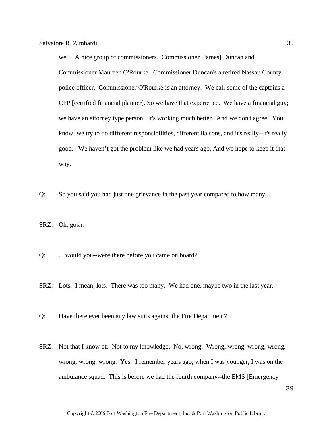well. A nice group of commissioners. Commissioner [James] Duncan and Commissioner Maureen O'Rourke. Commissioner Duncan's a retired Nassau County police officer. Commissioner O'Rourke is an attorney. We call some of the captains a CFP [certified financial planner]. So we have that experience. We have a financial guy; we have an attorney type person. It's working much better. And we don't agree. You know, we try to do different responsibilities, different liaisons, and it's really--it's really good. We haven't got the problem like we had years ago. And we hope to keep it that way.

- Q: So you said you had just one grievance in the past year compared to how many ...
- SRZ: Oh, gosh.
- Q: ... would you--were there before you came on board?
- SRZ: Lots. I mean, lots. There was too many. We had one, maybe two in the last year.
- Q: Have there ever been any law suits against the Fire Department?
- SRZ: Not that I know of. Not to my knowledge. No, wrong. Wrong, wrong, wrong, wrong, wrong, wrong, wrong. Yes. I remember years ago, when I was younger, I was on the ambulance squad. This is before we had the fourth company--the EMS [Emergency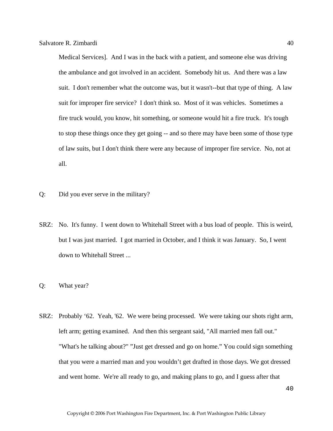Medical Services]. And I was in the back with a patient, and someone else was driving the ambulance and got involved in an accident. Somebody hit us. And there was a law suit. I don't remember what the outcome was, but it wasn't--but that type of thing. A law suit for improper fire service? I don't think so. Most of it was vehicles. Sometimes a fire truck would, you know, hit something, or someone would hit a fire truck. It's tough to stop these things once they get going -- and so there may have been some of those type of law suits, but I don't think there were any because of improper fire service. No, not at all.

- Q: Did you ever serve in the military?
- SRZ: No. It's funny. I went down to Whitehall Street with a bus load of people. This is weird, but I was just married. I got married in October, and I think it was January. So, I went down to Whitehall Street ...
- Q: What year?
- SRZ: Probably '62. Yeah, '62. We were being processed. We were taking our shots right arm, left arm; getting examined. And then this sergeant said, "All married men fall out." "What's he talking about?" "Just get dressed and go on home." You could sign something that you were a married man and you wouldn't get drafted in those days. We got dressed and went home. We're all ready to go, and making plans to go, and I guess after that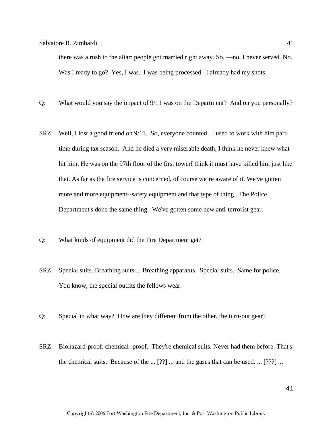there was a rush to the altar: people got married right away. So, —no, I never served. No. Was I ready to go? Yes, I was. I was being processed. I already had my shots.

- Q: What would you say the impact of 9/11 was on the Department? And on you personally?
- SRZ: Well, I lost a good friend on 9/11. So, everyone counted. I used to work with him parttime during tax season. And he died a very miserable death, I think he never knew what hit him. He was on the 97th floor of the first towerI think it must have killed him just like that. As far as the fire service is concerned, of course we're aware of it. We've gotten more and more equipment--safety equipment and that type of thing. The Police Department's done the same thing. We've gotten some new anti-terrorist gear.
- Q: What kinds of equipment did the Fire Department get?
- SRZ: Special suits. Breathing suits ... Breathing apparatus. Special suits. Same for police. You know, the special outfits the fellows wear.
- Q: Special in what way? How are they different from the other, the turn-out gear?
- SRZ: Biohazard-proof, chemical- proof. They're chemical suits. Never had them before. That's the chemical suits. Because of the ... [??] ... and the gases that can be used. ... [???] ...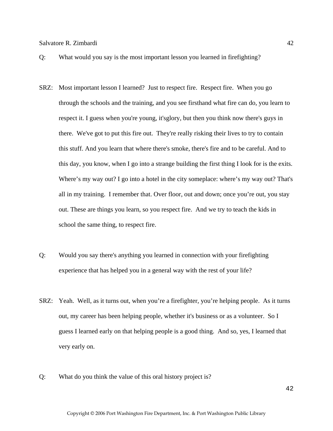- 
- Q: What would you say is the most important lesson you learned in firefighting?
- SRZ: Most important lesson I learned? Just to respect fire. Respect fire. When you go through the schools and the training, and you see firsthand what fire can do, you learn to respect it. I guess when you're young, it'sglory, but then you think now there's guys in there. We've got to put this fire out. They're really risking their lives to try to contain this stuff. And you learn that where there's smoke, there's fire and to be careful. And to this day, you know, when I go into a strange building the first thing I look for is the exits. Where's my way out? I go into a hotel in the city someplace: where's my way out? That's all in my training. I remember that. Over floor, out and down; once you're out, you stay out. These are things you learn, so you respect fire. And we try to teach the kids in school the same thing, to respect fire.
- Q: Would you say there's anything you learned in connection with your firefighting experience that has helped you in a general way with the rest of your life?
- SRZ: Yeah. Well, as it turns out, when you're a firefighter, you're helping people. As it turns out, my career has been helping people, whether it's business or as a volunteer. So I guess I learned early on that helping people is a good thing. And so, yes, I learned that very early on.
- Q: What do you think the value of this oral history project is?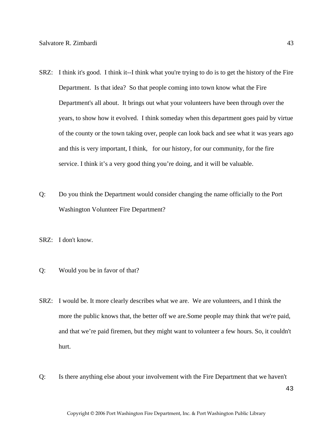- SRZ: I think it's good. I think it--I think what you're trying to do is to get the history of the Fire Department. Is that idea? So that people coming into town know what the Fire Department's all about. It brings out what your volunteers have been through over the years, to show how it evolved. I think someday when this department goes paid by virtue of the county or the town taking over, people can look back and see what it was years ago and this is very important, I think, for our history, for our community, for the fire service. I think it's a very good thing you're doing, and it will be valuable.
- Q: Do you think the Department would consider changing the name officially to the Port Washington Volunteer Fire Department?
- SRZ: I don't know.
- Q: Would you be in favor of that?
- SRZ: I would be. It more clearly describes what we are. We are volunteers, and I think the more the public knows that, the better off we are.Some people may think that we're paid, and that we're paid firemen, but they might want to volunteer a few hours. So, it couldn't hurt.
- Q: Is there anything else about your involvement with the Fire Department that we haven't